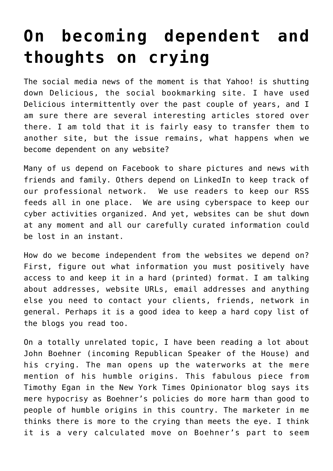## **[On becoming dependent and](https://deborahbrody.com/2010/12/on-becoming-dependent-and-thoughts-on-crying/) [thoughts on crying](https://deborahbrody.com/2010/12/on-becoming-dependent-and-thoughts-on-crying/)**

The social media news of the moment is that Yahoo! is shutting down Delicious, the social bookmarking site. I have used Delicious intermittently over the past couple of years, and I am sure there are several interesting articles stored over there. I am told that it is fairly easy to transfer them to another site, but the issue remains, what happens when we become dependent on any website?

Many of us depend on Facebook to share pictures and news with friends and family. Others depend on LinkedIn to keep track of our professional network. We use readers to keep our RSS feeds all in one place. We are using cyberspace to keep our cyber activities organized. And yet, websites can be shut down at any moment and all our carefully curated information could be lost in an instant.

How do we become independent from the websites we depend on? First, figure out what information you must positively have access to and keep it in a hard (printed) format. I am talking about addresses, website URLs, email addresses and anything else you need to contact your clients, friends, network in general. Perhaps it is a good idea to keep a hard copy list of the blogs you read too.

On a totally unrelated topic, I have been reading a lot about John Boehner (incoming Republican Speaker of the House) and his crying. The man opens up the waterworks at the mere mention of his humble origins. [This fabulous piece from](http://opinionator.blogs.nytimes.com/2010/12/15/the-tears-of-john-boehner/?src=me&ref=general) [Timothy Egan in the New York Times Opinionator blog](http://opinionator.blogs.nytimes.com/2010/12/15/the-tears-of-john-boehner/?src=me&ref=general) says its mere hypocrisy as Boehner's policies do more harm than good to people of humble origins in this country. The marketer in me thinks there is more to the crying than meets the eye. I think it is a very calculated move on Boehner's part to seem